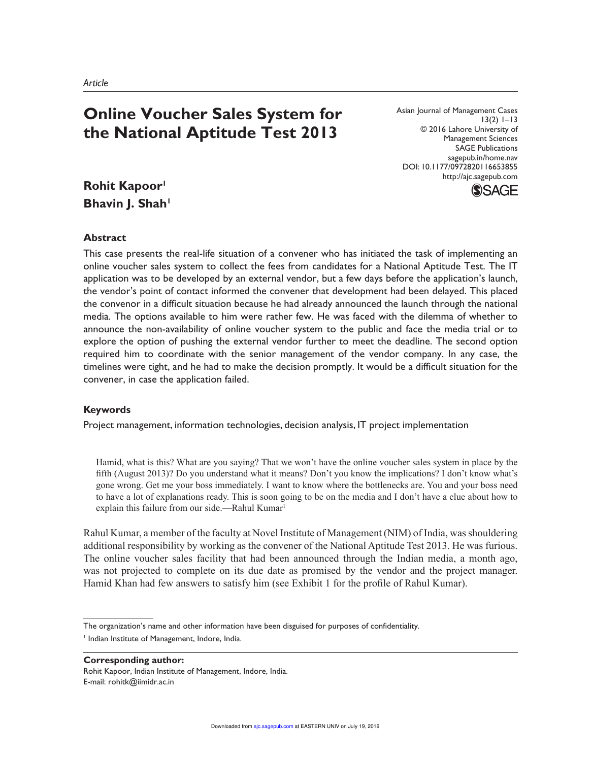# **Online Voucher Sales System for the National Aptitude Test 2013**

Asian Journal of Management Cases 13(2) 1–13 © 2016 Lahore University of Management Sciences SAGE Publications sagepub.in/home.nav DOI: 10.1177/0972820116653855 http://ajc.sagepub.com



# **Rohit Kapoor<sup>1</sup> Bhavin J. Shah<sup>1</sup>**

## **Abstract**

This case presents the real-life situation of a convener who has initiated the task of implementing an online voucher sales system to collect the fees from candidates for a National Aptitude Test. The IT application was to be developed by an external vendor, but a few days before the application's launch, the vendor's point of contact informed the convener that development had been delayed. This placed the convenor in a difficult situation because he had already announced the launch through the national media. The options available to him were rather few. He was faced with the dilemma of whether to announce the non-availability of online voucher system to the public and face the media trial or to explore the option of pushing the external vendor further to meet the deadline. The second option required him to coordinate with the senior management of the vendor company. In any case, the timelines were tight, and he had to make the decision promptly. It would be a difficult situation for the convener, in case the application failed.

# **Keywords**

Project management, information technologies, decision analysis, IT project implementation

Hamid, what is this? What are you saying? That we won't have the online voucher sales system in place by the fifth (August 2013)? Do you understand what it means? Don't you know the implications? I don't know what's gone wrong. Get me your boss immediately. I want to know where the bottlenecks are. You and your boss need to have a lot of explanations ready. This is soon going to be on the media and I don't have a clue about how to explain this failure from our side.—Rahul Kumar<sup>1</sup>

Rahul Kumar, a member of the faculty at Novel Institute of Management (NIM) of India, was shouldering additional responsibility by working as the convener of the National Aptitude Test 2013. He was furious. The online voucher sales facility that had been announced through the Indian media, a month ago, was not projected to complete on its due date as promised by the vendor and the project manager. Hamid Khan had few answers to satisfy him (see Exhibit 1 for the profile of Rahul Kumar).

The organization's name and other information have been disguised for purposes of confidentiality.

<sup>&</sup>lt;sup>1</sup> Indian Institute of Management, Indore, India.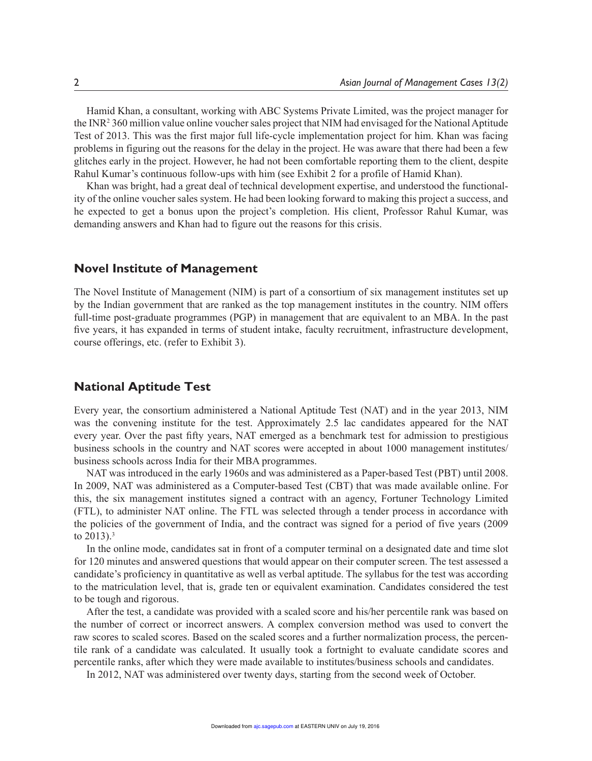Hamid Khan, a consultant, working with ABC Systems Private Limited, was the project manager for the INR<sup>2</sup> 360 million value online voucher sales project that NIM had envisaged for the National Aptitude Test of 2013. This was the first major full life-cycle implementation project for him. Khan was facing problems in figuring out the reasons for the delay in the project. He was aware that there had been a few glitches early in the project. However, he had not been comfortable reporting them to the client, despite Rahul Kumar's continuous follow-ups with him (see Exhibit 2 for a profile of Hamid Khan).

Khan was bright, had a great deal of technical development expertise, and understood the functionality of the online voucher sales system. He had been looking forward to making this project a success, and he expected to get a bonus upon the project's completion. His client, Professor Rahul Kumar, was demanding answers and Khan had to figure out the reasons for this crisis.

### **Novel Institute of Management**

The Novel Institute of Management (NIM) is part of a consortium of six management institutes set up by the Indian government that are ranked as the top management institutes in the country. NIM offers full-time post-graduate programmes (PGP) in management that are equivalent to an MBA. In the past five years, it has expanded in terms of student intake, faculty recruitment, infrastructure development, course offerings, etc. (refer to Exhibit 3).

### **National Aptitude Test**

Every year, the consortium administered a National Aptitude Test (NAT) and in the year 2013, NIM was the convening institute for the test. Approximately 2.5 lac candidates appeared for the NAT every year. Over the past fifty years, NAT emerged as a benchmark test for admission to prestigious business schools in the country and NAT scores were accepted in about 1000 management institutes/ business schools across India for their MBA programmes.

NAT was introduced in the early 1960s and was administered as a Paper-based Test (PBT) until 2008. In 2009, NAT was administered as a Computer-based Test (CBT) that was made available online. For this, the six management institutes signed a contract with an agency, Fortuner Technology Limited (FTL), to administer NAT online. The FTL was selected through a tender process in accordance with the policies of the government of India, and the contract was signed for a period of five years (2009 to  $2013$ ).<sup>3</sup>

In the online mode, candidates sat in front of a computer terminal on a designated date and time slot for 120 minutes and answered questions that would appear on their computer screen. The test assessed a candidate's proficiency in quantitative as well as verbal aptitude. The syllabus for the test was according to the matriculation level, that is, grade ten or equivalent examination. Candidates considered the test to be tough and rigorous.

After the test, a candidate was provided with a scaled score and his/her percentile rank was based on the number of correct or incorrect answers. A complex conversion method was used to convert the raw scores to scaled scores. Based on the scaled scores and a further normalization process, the percentile rank of a candidate was calculated. It usually took a fortnight to evaluate candidate scores and percentile ranks, after which they were made available to institutes/business schools and candidates.

In 2012, NAT was administered over twenty days, starting from the second week of October.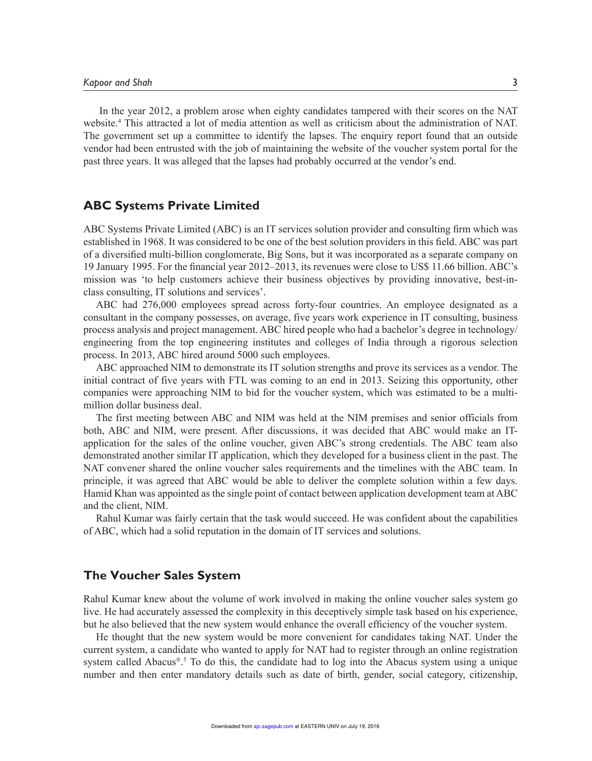In the year 2012, a problem arose when eighty candidates tampered with their scores on the NAT website.<sup>4</sup> This attracted a lot of media attention as well as criticism about the administration of NAT. The government set up a committee to identify the lapses. The enquiry report found that an outside vendor had been entrusted with the job of maintaining the website of the voucher system portal for the past three years. It was alleged that the lapses had probably occurred at the vendor's end.

# **ABC Systems Private Limited**

ABC Systems Private Limited (ABC) is an IT services solution provider and consulting firm which was established in 1968. It was considered to be one of the best solution providers in this field. ABC was part of a diversified multi-billion conglomerate, Big Sons, but it was incorporated as a separate company on 19 January 1995. For the financial year 2012–2013, its revenues were close to US\$ 11.66 billion. ABC's mission was 'to help customers achieve their business objectives by providing innovative, best-inclass consulting, IT solutions and services'.

ABC had 276,000 employees spread across forty-four countries. An employee designated as a consultant in the company possesses, on average, five years work experience in IT consulting, business process analysis and project management. ABC hired people who had a bachelor's degree in technology/ engineering from the top engineering institutes and colleges of India through a rigorous selection process. In 2013, ABC hired around 5000 such employees.

ABC approached NIM to demonstrate its IT solution strengths and prove its services as a vendor. The initial contract of five years with FTL was coming to an end in 2013. Seizing this opportunity, other companies were approaching NIM to bid for the voucher system, which was estimated to be a multimillion dollar business deal.

The first meeting between ABC and NIM was held at the NIM premises and senior officials from both, ABC and NIM, were present. After discussions, it was decided that ABC would make an ITapplication for the sales of the online voucher, given ABC's strong credentials. The ABC team also demonstrated another similar IT application, which they developed for a business client in the past. The NAT convener shared the online voucher sales requirements and the timelines with the ABC team. In principle, it was agreed that ABC would be able to deliver the complete solution within a few days. Hamid Khan was appointed as the single point of contact between application development team at ABC and the client, NIM.

Rahul Kumar was fairly certain that the task would succeed. He was confident about the capabilities of ABC, which had a solid reputation in the domain of IT services and solutions.

# **The Voucher Sales System**

Rahul Kumar knew about the volume of work involved in making the online voucher sales system go live. He had accurately assessed the complexity in this deceptively simple task based on his experience, but he also believed that the new system would enhance the overall efficiency of the voucher system.

He thought that the new system would be more convenient for candidates taking NAT. Under the current system, a candidate who wanted to apply for NAT had to register through an online registration system called Abacus<sup>® 5</sup>. To do this, the candidate had to log into the Abacus system using a unique number and then enter mandatory details such as date of birth, gender, social category, citizenship,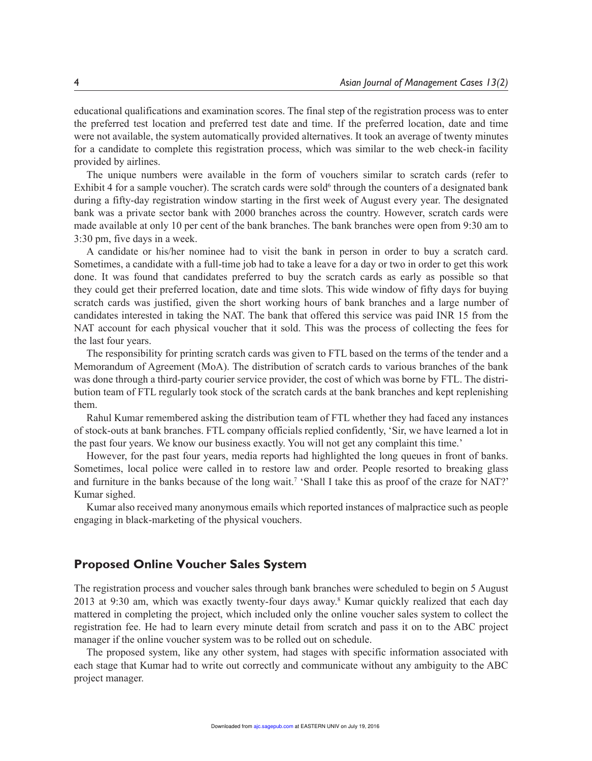educational qualifications and examination scores. The final step of the registration process was to enter the preferred test location and preferred test date and time. If the preferred location, date and time were not available, the system automatically provided alternatives. It took an average of twenty minutes for a candidate to complete this registration process, which was similar to the web check-in facility provided by airlines.

The unique numbers were available in the form of vouchers similar to scratch cards (refer to Exhibit 4 for a sample voucher). The scratch cards were sold<sup>6</sup> through the counters of a designated bank during a fifty-day registration window starting in the first week of August every year. The designated bank was a private sector bank with 2000 branches across the country. However, scratch cards were made available at only 10 per cent of the bank branches. The bank branches were open from 9:30 am to 3:30 pm, five days in a week.

A candidate or his/her nominee had to visit the bank in person in order to buy a scratch card. Sometimes, a candidate with a full-time job had to take a leave for a day or two in order to get this work done. It was found that candidates preferred to buy the scratch cards as early as possible so that they could get their preferred location, date and time slots. This wide window of fifty days for buying scratch cards was justified, given the short working hours of bank branches and a large number of candidates interested in taking the NAT. The bank that offered this service was paid INR 15 from the NAT account for each physical voucher that it sold. This was the process of collecting the fees for the last four years.

The responsibility for printing scratch cards was given to FTL based on the terms of the tender and a Memorandum of Agreement (MoA). The distribution of scratch cards to various branches of the bank was done through a third-party courier service provider, the cost of which was borne by FTL. The distribution team of FTL regularly took stock of the scratch cards at the bank branches and kept replenishing them.

Rahul Kumar remembered asking the distribution team of FTL whether they had faced any instances of stock-outs at bank branches. FTL company officials replied confidently, 'Sir, we have learned a lot in the past four years. We know our business exactly. You will not get any complaint this time.'

However, for the past four years, media reports had highlighted the long queues in front of banks. Sometimes, local police were called in to restore law and order. People resorted to breaking glass and furniture in the banks because of the long wait.<sup>7</sup> 'Shall I take this as proof of the craze for NAT?' Kumar sighed.

Kumar also received many anonymous emails which reported instances of malpractice such as people engaging in black-marketing of the physical vouchers.

## **Proposed Online Voucher Sales System**

The registration process and voucher sales through bank branches were scheduled to begin on 5 August 2013 at 9:30 am, which was exactly twenty-four days away.<sup>8</sup> Kumar quickly realized that each day mattered in completing the project, which included only the online voucher sales system to collect the registration fee. He had to learn every minute detail from scratch and pass it on to the ABC project manager if the online voucher system was to be rolled out on schedule.

The proposed system, like any other system, had stages with specific information associated with each stage that Kumar had to write out correctly and communicate without any ambiguity to the ABC project manager.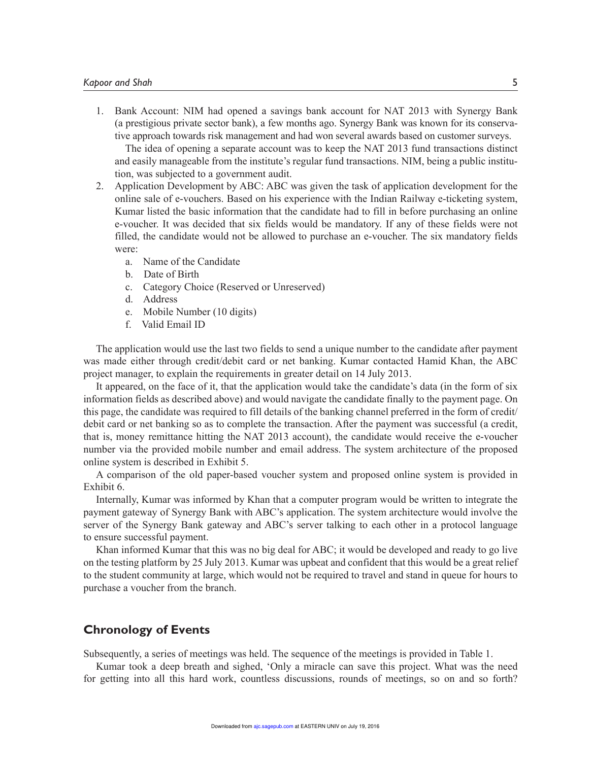1. Bank Account: NIM had opened a savings bank account for NAT 2013 with Synergy Bank (a prestigious private sector bank), a few months ago. Synergy Bank was known for its conservative approach towards risk management and had won several awards based on customer surveys.

 The idea of opening a separate account was to keep the NAT 2013 fund transactions distinct and easily manageable from the institute's regular fund transactions. NIM, being a public institution, was subjected to a government audit.

- 2. Application Development by ABC: ABC was given the task of application development for the online sale of e-vouchers. Based on his experience with the Indian Railway e-ticketing system, Kumar listed the basic information that the candidate had to fill in before purchasing an online e-voucher. It was decided that six fields would be mandatory. If any of these fields were not filled, the candidate would not be allowed to purchase an e-voucher. The six mandatory fields were:
	- a. Name of the Candidate
	- b. Date of Birth
	- c. Category Choice (Reserved or Unreserved)
	- d. Address
	- e. Mobile Number (10 digits)
	- f. Valid Email ID

The application would use the last two fields to send a unique number to the candidate after payment was made either through credit/debit card or net banking. Kumar contacted Hamid Khan, the ABC project manager, to explain the requirements in greater detail on 14 July 2013.

It appeared, on the face of it, that the application would take the candidate's data (in the form of six information fields as described above) and would navigate the candidate finally to the payment page. On this page, the candidate was required to fill details of the banking channel preferred in the form of credit/ debit card or net banking so as to complete the transaction. After the payment was successful (a credit, that is, money remittance hitting the NAT 2013 account), the candidate would receive the e-voucher number via the provided mobile number and email address. The system architecture of the proposed online system is described in Exhibit 5.

A comparison of the old paper-based voucher system and proposed online system is provided in Exhibit 6.

Internally, Kumar was informed by Khan that a computer program would be written to integrate the payment gateway of Synergy Bank with ABC's application. The system architecture would involve the server of the Synergy Bank gateway and ABC's server talking to each other in a protocol language to ensure successful payment.

Khan informed Kumar that this was no big deal for ABC; it would be developed and ready to go live on the testing platform by 25 July 2013. Kumar was upbeat and confident that this would be a great relief to the student community at large, which would not be required to travel and stand in queue for hours to purchase a voucher from the branch.

## **Chronology of Events**

Subsequently, a series of meetings was held. The sequence of the meetings is provided in Table 1.

Kumar took a deep breath and sighed, 'Only a miracle can save this project. What was the need for getting into all this hard work, countless discussions, rounds of meetings, so on and so forth?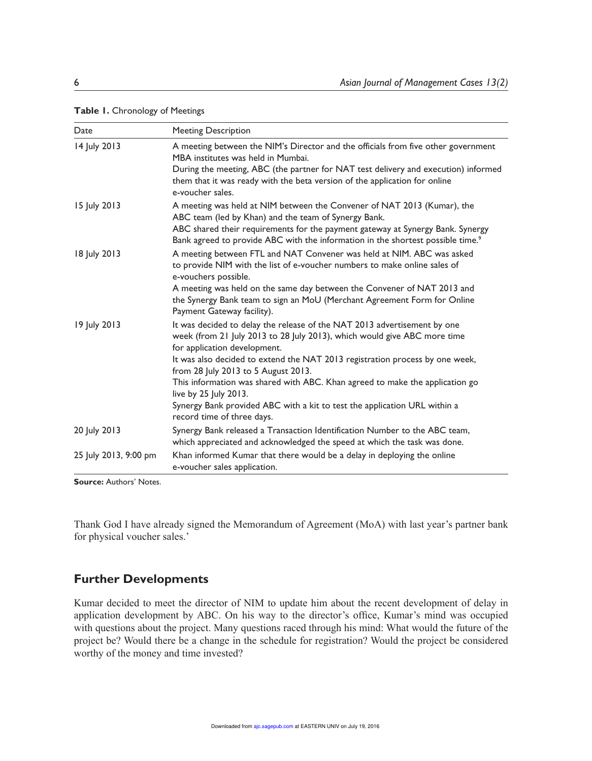| Date                  | <b>Meeting Description</b>                                                                                                                                                                                                                                                                                                                                                                                                                                                                                                      |
|-----------------------|---------------------------------------------------------------------------------------------------------------------------------------------------------------------------------------------------------------------------------------------------------------------------------------------------------------------------------------------------------------------------------------------------------------------------------------------------------------------------------------------------------------------------------|
| 14 July 2013          | A meeting between the NIM's Director and the officials from five other government<br>MBA institutes was held in Mumbai.<br>During the meeting, ABC (the partner for NAT test delivery and execution) informed<br>them that it was ready with the beta version of the application for online<br>e-voucher sales.                                                                                                                                                                                                                 |
| 15 July 2013          | A meeting was held at NIM between the Convener of NAT 2013 (Kumar), the<br>ABC team (led by Khan) and the team of Synergy Bank.<br>ABC shared their requirements for the payment gateway at Synergy Bank. Synergy<br>Bank agreed to provide ABC with the information in the shortest possible time. <sup>9</sup>                                                                                                                                                                                                                |
| 18 July 2013          | A meeting between FTL and NAT Convener was held at NIM. ABC was asked<br>to provide NIM with the list of e-voucher numbers to make online sales of<br>e-vouchers possible.<br>A meeting was held on the same day between the Convener of NAT 2013 and<br>the Synergy Bank team to sign an MoU (Merchant Agreement Form for Online<br>Payment Gateway facility).                                                                                                                                                                 |
| 19 July 2013          | It was decided to delay the release of the NAT 2013 advertisement by one<br>week (from 21 July 2013 to 28 July 2013), which would give ABC more time<br>for application development.<br>It was also decided to extend the NAT 2013 registration process by one week,<br>from 28 July 2013 to 5 August 2013.<br>This information was shared with ABC. Khan agreed to make the application go<br>live by 25 July 2013.<br>Synergy Bank provided ABC with a kit to test the application URL within a<br>record time of three days. |
| 20 July 2013          | Synergy Bank released a Transaction Identification Number to the ABC team,<br>which appreciated and acknowledged the speed at which the task was done.                                                                                                                                                                                                                                                                                                                                                                          |
| 25 July 2013, 9:00 pm | Khan informed Kumar that there would be a delay in deploying the online<br>e-voucher sales application.                                                                                                                                                                                                                                                                                                                                                                                                                         |

#### **Table 1.** Chronology of Meetings

**Source:** Authors' Notes.

Thank God I have already signed the Memorandum of Agreement (MoA) with last year's partner bank for physical voucher sales.'

# **Further Developments**

Kumar decided to meet the director of NIM to update him about the recent development of delay in application development by ABC. On his way to the director's office, Kumar's mind was occupied with questions about the project. Many questions raced through his mind: What would the future of the project be? Would there be a change in the schedule for registration? Would the project be considered worthy of the money and time invested?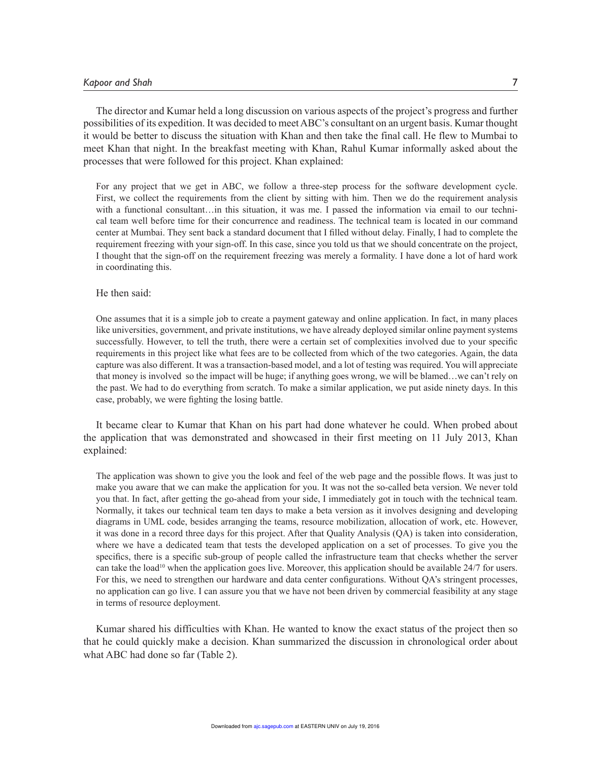#### *Kapoor and Shah* 7

The director and Kumar held a long discussion on various aspects of the project's progress and further possibilities of its expedition. It was decided to meet ABC's consultant on an urgent basis. Kumar thought it would be better to discuss the situation with Khan and then take the final call. He flew to Mumbai to meet Khan that night. In the breakfast meeting with Khan, Rahul Kumar informally asked about the processes that were followed for this project. Khan explained:

For any project that we get in ABC, we follow a three-step process for the software development cycle. First, we collect the requirements from the client by sitting with him. Then we do the requirement analysis with a functional consultant…in this situation, it was me. I passed the information via email to our technical team well before time for their concurrence and readiness. The technical team is located in our command center at Mumbai. They sent back a standard document that I filled without delay. Finally, I had to complete the requirement freezing with your sign-off. In this case, since you told us that we should concentrate on the project, I thought that the sign-off on the requirement freezing was merely a formality. I have done a lot of hard work in coordinating this.

#### He then said:

One assumes that it is a simple job to create a payment gateway and online application. In fact, in many places like universities, government, and private institutions, we have already deployed similar online payment systems successfully. However, to tell the truth, there were a certain set of complexities involved due to your specific requirements in this project like what fees are to be collected from which of the two categories. Again, the data capture was also different. It was a transaction-based model, and a lot of testing was required. You will appreciate that money is involved so the impact will be huge; if anything goes wrong, we will be blamed…we can't rely on the past. We had to do everything from scratch. To make a similar application, we put aside ninety days. In this case, probably, we were fighting the losing battle.

It became clear to Kumar that Khan on his part had done whatever he could. When probed about the application that was demonstrated and showcased in their first meeting on 11 July 2013, Khan explained:

The application was shown to give you the look and feel of the web page and the possible flows. It was just to make you aware that we can make the application for you. It was not the so-called beta version. We never told you that. In fact, after getting the go-ahead from your side, I immediately got in touch with the technical team. Normally, it takes our technical team ten days to make a beta version as it involves designing and developing diagrams in UML code, besides arranging the teams, resource mobilization, allocation of work, etc. However, it was done in a record three days for this project. After that Quality Analysis (QA) is taken into consideration, where we have a dedicated team that tests the developed application on a set of processes. To give you the specifics, there is a specific sub-group of people called the infrastructure team that checks whether the server can take the load<sup>10</sup> when the application goes live. Moreover, this application should be available  $24/7$  for users. For this, we need to strengthen our hardware and data center configurations. Without QA's stringent processes, no application can go live. I can assure you that we have not been driven by commercial feasibility at any stage in terms of resource deployment.

Kumar shared his difficulties with Khan. He wanted to know the exact status of the project then so that he could quickly make a decision. Khan summarized the discussion in chronological order about what ABC had done so far (Table 2).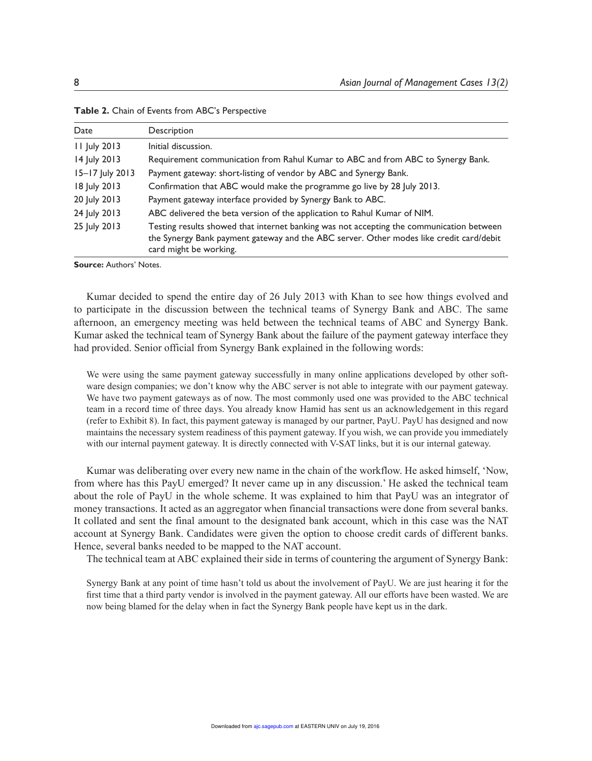| Date            | Description                                                                                                                                                                                                   |
|-----------------|---------------------------------------------------------------------------------------------------------------------------------------------------------------------------------------------------------------|
| 11 July 2013    | Initial discussion.                                                                                                                                                                                           |
| 14 July 2013    | Requirement communication from Rahul Kumar to ABC and from ABC to Synergy Bank.                                                                                                                               |
| 15-17 July 2013 | Payment gateway: short-listing of vendor by ABC and Synergy Bank.                                                                                                                                             |
| 18 July 2013    | Confirmation that ABC would make the programme go live by 28 July 2013.                                                                                                                                       |
| 20 July 2013    | Payment gateway interface provided by Synergy Bank to ABC.                                                                                                                                                    |
| 24 July 2013    | ABC delivered the beta version of the application to Rahul Kumar of NIM.                                                                                                                                      |
| 25 July 2013    | Testing results showed that internet banking was not accepting the communication between<br>the Synergy Bank payment gateway and the ABC server. Other modes like credit card/debit<br>card might be working. |

**Table 2.** Chain of Events from ABC's Perspective

**Source:** Authors' Notes.

Kumar decided to spend the entire day of 26 July 2013 with Khan to see how things evolved and to participate in the discussion between the technical teams of Synergy Bank and ABC. The same afternoon, an emergency meeting was held between the technical teams of ABC and Synergy Bank. Kumar asked the technical team of Synergy Bank about the failure of the payment gateway interface they had provided. Senior official from Synergy Bank explained in the following words:

We were using the same payment gateway successfully in many online applications developed by other software design companies; we don't know why the ABC server is not able to integrate with our payment gateway. We have two payment gateways as of now. The most commonly used one was provided to the ABC technical team in a record time of three days. You already know Hamid has sent us an acknowledgement in this regard (refer to Exhibit 8). In fact, this payment gateway is managed by our partner, PayU. PayU has designed and now maintains the necessary system readiness of this payment gateway. If you wish, we can provide you immediately with our internal payment gateway. It is directly connected with V-SAT links, but it is our internal gateway.

Kumar was deliberating over every new name in the chain of the workflow. He asked himself, 'Now, from where has this PayU emerged? It never came up in any discussion.' He asked the technical team about the role of PayU in the whole scheme. It was explained to him that PayU was an integrator of money transactions. It acted as an aggregator when financial transactions were done from several banks. It collated and sent the final amount to the designated bank account, which in this case was the NAT account at Synergy Bank. Candidates were given the option to choose credit cards of different banks. Hence, several banks needed to be mapped to the NAT account.

The technical team at ABC explained their side in terms of countering the argument of Synergy Bank:

Synergy Bank at any point of time hasn't told us about the involvement of PayU. We are just hearing it for the first time that a third party vendor is involved in the payment gateway. All our efforts have been wasted. We are now being blamed for the delay when in fact the Synergy Bank people have kept us in the dark.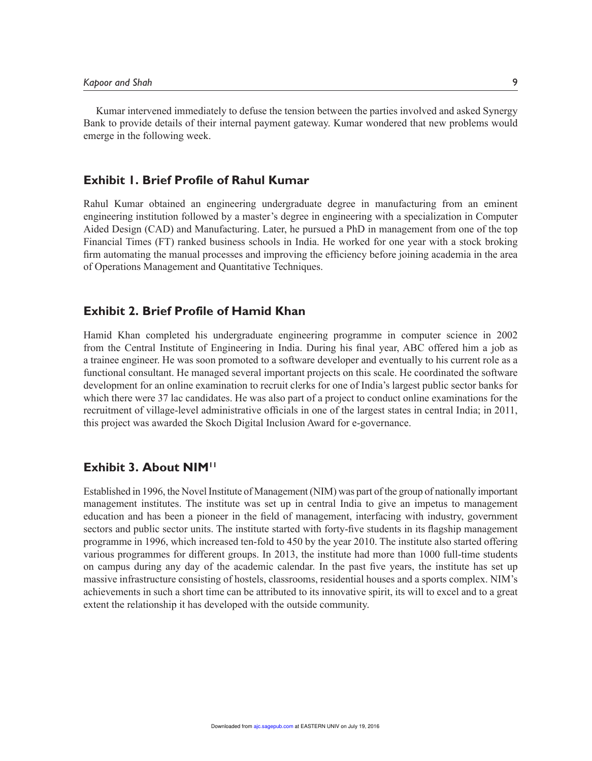Kumar intervened immediately to defuse the tension between the parties involved and asked Synergy Bank to provide details of their internal payment gateway. Kumar wondered that new problems would emerge in the following week.

## **Exhibit 1. Brief Profile of Rahul Kumar**

Rahul Kumar obtained an engineering undergraduate degree in manufacturing from an eminent engineering institution followed by a master's degree in engineering with a specialization in Computer Aided Design (CAD) and Manufacturing. Later, he pursued a PhD in management from one of the top Financial Times (FT) ranked business schools in India. He worked for one year with a stock broking firm automating the manual processes and improving the efficiency before joining academia in the area of Operations Management and Quantitative Techniques.

# **Exhibit 2. Brief Profile of Hamid Khan**

Hamid Khan completed his undergraduate engineering programme in computer science in 2002 from the Central Institute of Engineering in India. During his final year, ABC offered him a job as a trainee engineer. He was soon promoted to a software developer and eventually to his current role as a functional consultant. He managed several important projects on this scale. He coordinated the software development for an online examination to recruit clerks for one of India's largest public sector banks for which there were 37 lac candidates. He was also part of a project to conduct online examinations for the recruitment of village-level administrative officials in one of the largest states in central India; in 2011, this project was awarded the Skoch Digital Inclusion Award for e-governance.

# **Exhibit 3. About NIM<sup>11</sup>**

Established in 1996, the Novel Institute of Management (NIM) was part of the group of nationally important management institutes. The institute was set up in central India to give an impetus to management education and has been a pioneer in the field of management, interfacing with industry, government sectors and public sector units. The institute started with forty-five students in its flagship management programme in 1996, which increased ten-fold to 450 by the year 2010. The institute also started offering various programmes for different groups. In 2013, the institute had more than 1000 full-time students on campus during any day of the academic calendar. In the past five years, the institute has set up massive infrastructure consisting of hostels, classrooms, residential houses and a sports complex. NIM's achievements in such a short time can be attributed to its innovative spirit, its will to excel and to a great extent the relationship it has developed with the outside community.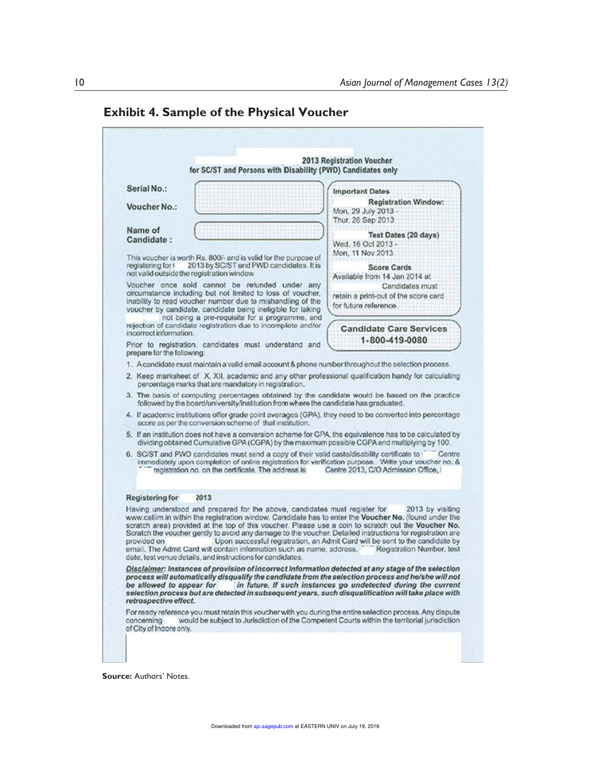|                                                                                                                                                                               |                                                                                                                                                                                                                                                                                                                                                                                                                                                                                                                                                                                             | <b>2013 Registration Voucher</b>                                                                 |
|-------------------------------------------------------------------------------------------------------------------------------------------------------------------------------|---------------------------------------------------------------------------------------------------------------------------------------------------------------------------------------------------------------------------------------------------------------------------------------------------------------------------------------------------------------------------------------------------------------------------------------------------------------------------------------------------------------------------------------------------------------------------------------------|--------------------------------------------------------------------------------------------------|
|                                                                                                                                                                               | for SC/ST and Persons with Disability (PWD) Candidates only                                                                                                                                                                                                                                                                                                                                                                                                                                                                                                                                 |                                                                                                  |
|                                                                                                                                                                               | Serial No.:                                                                                                                                                                                                                                                                                                                                                                                                                                                                                                                                                                                 | <b>Important Dates</b><br><b>Registration Window:</b>                                            |
|                                                                                                                                                                               | Voucher No.:                                                                                                                                                                                                                                                                                                                                                                                                                                                                                                                                                                                | Mon, 29 July 2013 -<br>Thur. 26 Sep 2013                                                         |
|                                                                                                                                                                               | Name of<br>Candidate:                                                                                                                                                                                                                                                                                                                                                                                                                                                                                                                                                                       | Test Dates (20 days)<br>Wed. 16 Oct 2013 -                                                       |
| This voucher is worth Rs. 800/- and is valid for the purpose of<br>reaistering for I<br>2013 by SC/ST and PWD candidates. It is<br>not valid outside the registration window. |                                                                                                                                                                                                                                                                                                                                                                                                                                                                                                                                                                                             | Mon, 11 Nov 2013<br><b>Score Cards</b><br>Available from 14 Jan 2014 at                          |
|                                                                                                                                                                               | Voucher once sold cannot be refunded under any<br>circumstance including but not limited to loss of voucher,<br>inability to read voucher number due to mishandling of the<br>voucher by candidate, candidate being ineligible for taking<br>not being a pre-requisite for a programme, and                                                                                                                                                                                                                                                                                                 | Candidates must<br>retain a print-out of the score card<br>for future reference.                 |
|                                                                                                                                                                               | rejection of candidate registration due to incomplete and/or<br>incorrect information.                                                                                                                                                                                                                                                                                                                                                                                                                                                                                                      | <b>Candidate Care Services</b><br>1-800-419-0080                                                 |
|                                                                                                                                                                               | Prior to registration, candidates must understand and<br>prepare for the following:                                                                                                                                                                                                                                                                                                                                                                                                                                                                                                         |                                                                                                  |
|                                                                                                                                                                               | 1. A candidate must maintain a valid email account & phone number throughout the selection process.                                                                                                                                                                                                                                                                                                                                                                                                                                                                                         |                                                                                                  |
|                                                                                                                                                                               | 2. Keep marksheet of X, XII, academic and any other professional qualification handy for calculating<br>percentage marks that are mandatory in registration.<br>3. The basis of computing percentages obtained by the candidate would be based on the practice                                                                                                                                                                                                                                                                                                                              |                                                                                                  |
|                                                                                                                                                                               | followed by the board/university/institution from where the candidate has graduated.                                                                                                                                                                                                                                                                                                                                                                                                                                                                                                        |                                                                                                  |
|                                                                                                                                                                               | 4. If academic institutions offer grade point averages (GPA), they need to be converted into percentage<br>score as per the conversion scheme of that institution.                                                                                                                                                                                                                                                                                                                                                                                                                          |                                                                                                  |
|                                                                                                                                                                               | 5. If an institution does not have a conversion scheme for GPA, the equivalence has to be calculated by<br>dividing obtained Cumulative GPA (CGPA) by the maximum possible CGPA and multiplying by 100.                                                                                                                                                                                                                                                                                                                                                                                     |                                                                                                  |
|                                                                                                                                                                               | 6. SC/ST and PWD candidates must send a copy of their valid caste/disability certificate to<br>immediately upon completion of online registration for verification purpose. Write your voucher no. &<br>registration no, on the certificate. The address is                                                                                                                                                                                                                                                                                                                                 | Centre<br>Centre 2013, C/O Admission Office, I                                                   |
|                                                                                                                                                                               | Registering for<br>2013                                                                                                                                                                                                                                                                                                                                                                                                                                                                                                                                                                     |                                                                                                  |
|                                                                                                                                                                               | Having understood and prepared for the above, candidates must register for<br>www.catiim.in within the registration window. Candidate has to enter the Voucher No. (found under the<br>scratch area) provided at the top of this voucher. Please use a coin to scratch out the Voucher No.<br>Scratch the voucher gently to avoid any damage to the voucher. Detailed instructions for registration are<br>provided on<br>email. The Admit Card will contain information such as name, address, The Registration Number, test<br>date, test venue details, and instructions for candidates. | 2013 by visiting<br>Upon successful registration, an Admit Card will be sent to the candidate by |
|                                                                                                                                                                               | Disclaimer: Instances of provision of incorrect information detected at any stage of the selection<br>process will automatically disqualify the candidate from the selection process and he/she will not                                                                                                                                                                                                                                                                                                                                                                                    | in future. If such instances go undetected during the current                                    |
|                                                                                                                                                                               | be allowed to appear for<br>selection process but are detected in subsequent years, such disqualification will take place with<br>retrospective effect.                                                                                                                                                                                                                                                                                                                                                                                                                                     |                                                                                                  |

# **Exhibit 4. Sample of the Physical Voucher**

Source: Authors' Notes.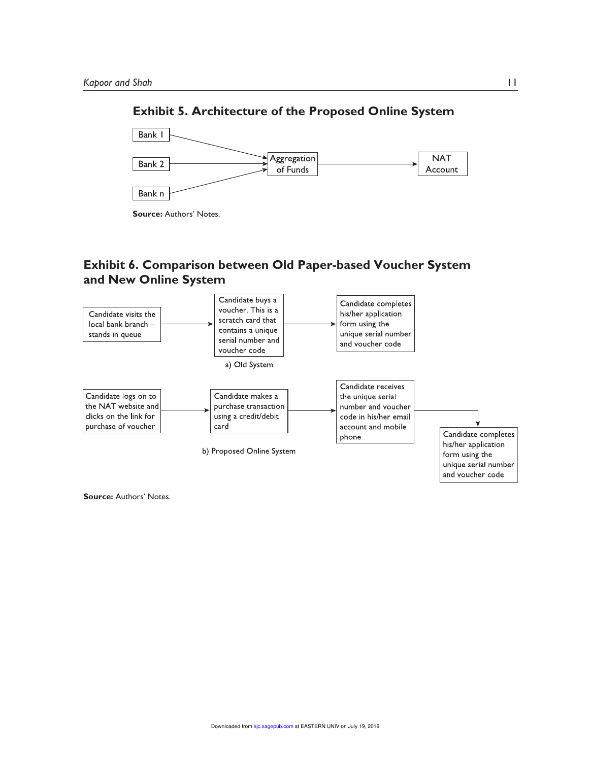

# **Exhibit 5. Architecture of the Proposed Online System**

**Source:** Authors' Notes.

# **Exhibit 6. Comparison between Old Paper-based Voucher System and New Online System**



**Source:** Authors' Notes.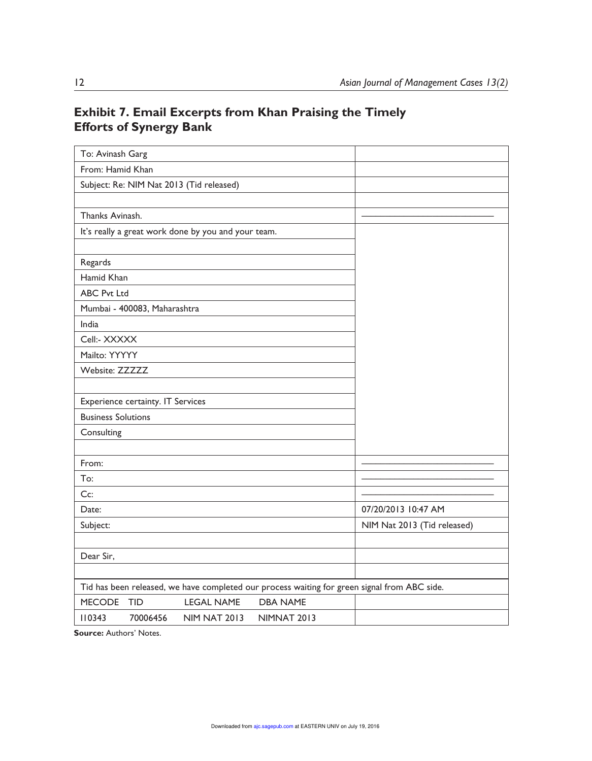| To: Avinash Garg                                                                             |                             |
|----------------------------------------------------------------------------------------------|-----------------------------|
| From: Hamid Khan                                                                             |                             |
| Subject: Re: NIM Nat 2013 (Tid released)                                                     |                             |
|                                                                                              |                             |
| Thanks Avinash.                                                                              |                             |
| It's really a great work done by you and your team.                                          |                             |
|                                                                                              |                             |
| Regards                                                                                      |                             |
| Hamid Khan                                                                                   |                             |
| <b>ABC Pvt Ltd</b>                                                                           |                             |
| Mumbai - 400083, Maharashtra                                                                 |                             |
| India                                                                                        |                             |
| Cell:- XXXXX                                                                                 |                             |
| Mailto: YYYYY                                                                                |                             |
| Website: ZZZZZZ                                                                              |                             |
|                                                                                              |                             |
| Experience certainty. IT Services                                                            |                             |
| <b>Business Solutions</b>                                                                    |                             |
| Consulting                                                                                   |                             |
|                                                                                              |                             |
| From:                                                                                        |                             |
| To:                                                                                          |                             |
| Cc:                                                                                          |                             |
| Date:                                                                                        | 07/20/2013 10:47 AM         |
| Subject:                                                                                     | NIM Nat 2013 (Tid released) |
|                                                                                              |                             |
| Dear Sir,                                                                                    |                             |
|                                                                                              |                             |
| Tid has been released, we have completed our process waiting for green signal from ABC side. |                             |
| <b>MECODE</b><br><b>LEGAL NAME</b><br><b>DBA NAME</b><br>TID                                 |                             |
| 70006456<br>110343<br><b>NIM NAT 2013</b><br><b>NIMNAT 2013</b>                              |                             |

# **Exhibit 7. Email Excerpts from Khan Praising the Timely Efforts of Synergy Bank**

**Source: Authors' Notes.**